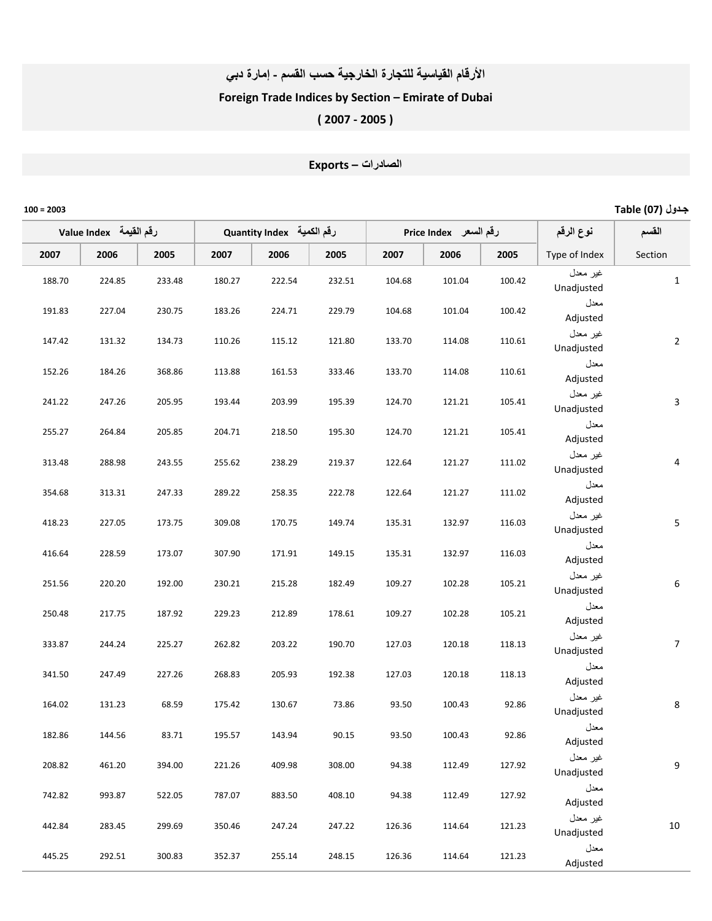#### الأرقام القياسية للتجارة الخارجية حسب القسم - إمارة دبي

### Foreign Trade Indices by Section – Emirate of Dubai

# ( 2007 ‐ 2005 )

# ا
درات – Exports

| جدول (07) Table  |                        |                       |        |        |                           |        |        |                         |        | $100 = 2003$ |
|------------------|------------------------|-----------------------|--------|--------|---------------------------|--------|--------|-------------------------|--------|--------------|
| القسم            | نوع الرقم              | رقم السعر Price Index |        |        | رقم الكمية Quantity Index |        |        | لرقم القيمة Value Index |        |              |
| Section          | Type of Index          | 2005                  | 2006   | 2007   | 2005                      | 2006   | 2007   | 2005                    | 2006   | 2007         |
| $\mathbf{1}$     | غير معدل<br>Unadjusted | 100.42                | 101.04 | 104.68 | 232.51                    | 222.54 | 180.27 | 233.48                  | 224.85 | 188.70       |
|                  | معدل<br>Adjusted       | 100.42                | 101.04 | 104.68 | 229.79                    | 224.71 | 183.26 | 230.75                  | 227.04 | 191.83       |
| $\overline{2}$   | غير معدل<br>Unadjusted | 110.61                | 114.08 | 133.70 | 121.80                    | 115.12 | 110.26 | 134.73                  | 131.32 | 147.42       |
|                  | معدل<br>Adjusted       | 110.61                | 114.08 | 133.70 | 333.46                    | 161.53 | 113.88 | 368.86                  | 184.26 | 152.26       |
| 3                | غير معدل<br>Unadjusted | 105.41                | 121.21 | 124.70 | 195.39                    | 203.99 | 193.44 | 205.95                  | 247.26 | 241.22       |
|                  | معدل<br>Adjusted       | 105.41                | 121.21 | 124.70 | 195.30                    | 218.50 | 204.71 | 205.85                  | 264.84 | 255.27       |
| $\overline{4}$   | غير معدل<br>Unadjusted | 111.02                | 121.27 | 122.64 | 219.37                    | 238.29 | 255.62 | 243.55                  | 288.98 | 313.48       |
|                  | معدل<br>Adjusted       | 111.02                | 121.27 | 122.64 | 222.78                    | 258.35 | 289.22 | 247.33                  | 313.31 | 354.68       |
| $\mathsf S$      | غير معدل<br>Unadjusted | 116.03                | 132.97 | 135.31 | 149.74                    | 170.75 | 309.08 | 173.75                  | 227.05 | 418.23       |
|                  | معدل<br>Adjusted       | 116.03                | 132.97 | 135.31 | 149.15                    | 171.91 | 307.90 | 173.07                  | 228.59 | 416.64       |
| $\boldsymbol{6}$ | غير معدل<br>Unadjusted | 105.21                | 102.28 | 109.27 | 182.49                    | 215.28 | 230.21 | 192.00                  | 220.20 | 251.56       |
|                  | معدل<br>Adjusted       | 105.21                | 102.28 | 109.27 | 178.61                    | 212.89 | 229.23 | 187.92                  | 217.75 | 250.48       |
| $\overline{7}$   | غير معدل<br>Unadjusted | 118.13                | 120.18 | 127.03 | 190.70                    | 203.22 | 262.82 | 225.27                  | 244.24 | 333.87       |
|                  | معدل<br>Adjusted       | 118.13                | 120.18 | 127.03 | 192.38                    | 205.93 | 268.83 | 227.26                  | 247.49 | 341.50       |
| 8                | غير معدل<br>Unadjusted | 92.86                 | 100.43 | 93.50  | 73.86                     | 130.67 | 175.42 | 68.59                   | 131.23 | 164.02       |
|                  | معدل<br>Adjusted       | 92.86                 | 100.43 | 93.50  | 90.15                     | 143.94 | 195.57 | 83.71                   | 144.56 | 182.86       |
| 9                | غير معدل<br>Unadjusted | 127.92                | 112.49 | 94.38  | 308.00                    | 409.98 | 221.26 | 394.00                  | 461.20 | 208.82       |
|                  | معدل<br>Adjusted       | 127.92                | 112.49 | 94.38  | 408.10                    | 883.50 | 787.07 | 522.05                  | 993.87 | 742.82       |
| 10               | غير معدل<br>Unadjusted | 121.23                | 114.64 | 126.36 | 247.22                    | 247.24 | 350.46 | 299.69                  | 283.45 | 442.84       |
|                  | معدل<br>Adjusted       | 121.23                | 114.64 | 126.36 | 248.15                    | 255.14 | 352.37 | 300.83                  | 292.51 | 445.25       |